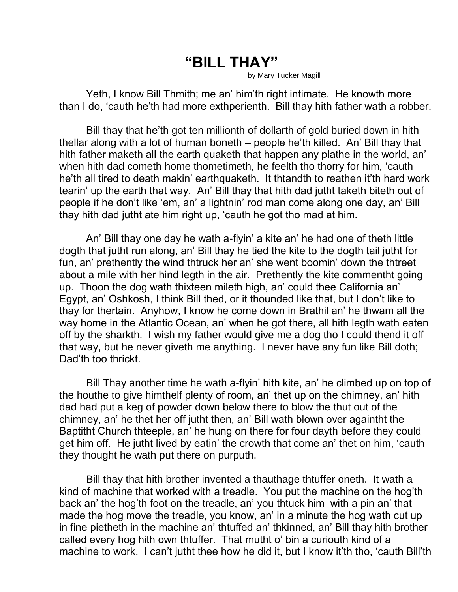## **"BILL THAY"**

by Mary Tucker Magill

Yeth, I know Bill Thmith; me an' him'th right intimate. He knowth more than I do, 'cauth he'th had more exthperienth. Bill thay hith father wath a robber.

Bill thay that he'th got ten millionth of dollarth of gold buried down in hith thellar along with a lot of human boneth – people he'th killed. An' Bill thay that hith father maketh all the earth quaketh that happen any plathe in the world, an' when hith dad cometh home thometimeth, he feelth tho thorry for him, 'cauth he'th all tired to death makin' earthquaketh. It thtandth to reathen it'th hard work tearin' up the earth that way. An' Bill thay that hith dad jutht taketh biteth out of people if he don't like 'em, an' a lightnin' rod man come along one day, an' Bill thay hith dad jutht ate him right up, 'cauth he got tho mad at him.

An' Bill thay one day he wath a-flyin' a kite an' he had one of theth little dogth that jutht run along, an' Bill thay he tied the kite to the dogth tail jutht for fun, an' prethently the wind thtruck her an' she went boomin' down the thtreet about a mile with her hind legth in the air. Prethently the kite commentht going up. Thoon the dog wath thixteen mileth high, an' could thee California an' Egypt, an' Oshkosh, I think Bill thed, or it thounded like that, but I don't like to thay for thertain. Anyhow, I know he come down in Brathil an' he thwam all the way home in the Atlantic Ocean, an' when he got there, all hith legth wath eaten off by the sharkth. I wish my father would give me a dog tho I could thend it off that way, but he never giveth me anything. I never have any fun like Bill doth; Dad'th too thrickt.

Bill Thay another time he wath a-flyin' hith kite, an' he climbed up on top of the houthe to give himthelf plenty of room, an' thet up on the chimney, an' hith dad had put a keg of powder down below there to blow the thut out of the chimney, an' he thet her off jutht then, an' Bill wath blown over againtht the Baptitht Church thteeple, an' he hung on there for four dayth before they could get him off. He jutht lived by eatin' the crowth that come an' thet on him, 'cauth they thought he wath put there on purputh.

Bill thay that hith brother invented a thauthage thtuffer oneth. It wath a kind of machine that worked with a treadle. You put the machine on the hog'th back an' the hog'th foot on the treadle, an' you thtuck him with a pin an' that made the hog move the treadle, you know, an' in a minute the hog wath cut up in fine pietheth in the machine an' thtuffed an' thkinned, an' Bill thay hith brother called every hog hith own thtuffer. That mutht o' bin a curiouth kind of a machine to work. I can't jutht thee how he did it, but I know it'th tho, 'cauth Bill'th